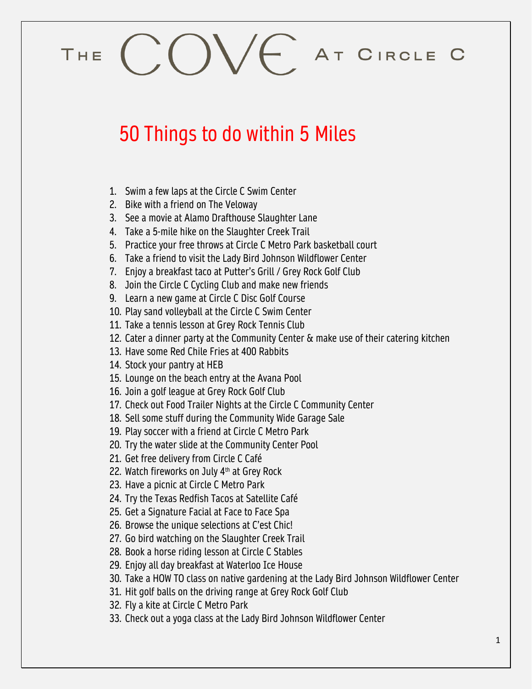## $COVE$  AT CIRCLE C THE

## 50 Things to do within 5 Miles

- 1. Swim a few laps at the Circle C Swim Center
- 2. Bike with a friend on The Veloway
- 3. See a movie at Alamo Drafthouse Slaughter Lane
- 4. Take a 5-mile hike on the Slaughter Creek Trail
- 5. Practice your free throws at Circle C Metro Park basketball court
- 6. Take a friend to visit the Lady Bird Johnson Wildflower Center
- 7. Enjoy a breakfast taco at Putter's Grill / Grey Rock Golf Club
- 8. Join the Circle C Cycling Club and make new friends
- 9. Learn a new game at Circle C Disc Golf Course
- 10. Play sand volleyball at the Circle C Swim Center
- 11. Take a tennis lesson at Grey Rock Tennis Club
- 12. Cater a dinner party at the Community Center & make use of their catering kitchen
- 13. Have some Red Chile Fries at 400 Rabbits
- 14. Stock your pantry at HEB
- 15. Lounge on the beach entry at the Avana Pool
- 16. Join a golf league at Grey Rock Golf Club
- 17. Check out Food Trailer Nights at the Circle C Community Center
- 18. Sell some stuff during the Community Wide Garage Sale
- 19. Play soccer with a friend at Circle C Metro Park
- 20. Try the water slide at the Community Center Pool
- 21. Get free delivery from Circle C Café
- 22. Watch fireworks on July  $4<sup>th</sup>$  at Grey Rock
- 23. Have a picnic at Circle C Metro Park
- 24. Try the Texas Redfish Tacos at Satellite Café
- 25. Get a Signature Facial at Face to Face Spa
- 26. Browse the unique selections at C'est Chic!
- 27. Go bird watching on the Slaughter Creek Trail
- 28. Book a horse riding lesson at Circle C Stables
- 29. Enjoy all day breakfast at Waterloo Ice House
- 30. Take a HOW TO class on native gardening at the Lady Bird Johnson Wildflower Center
- 31. Hit golf balls on the driving range at Grey Rock Golf Club
- 32. Fly a kite at Circle C Metro Park
- 33. Check out a yoga class at the Lady Bird Johnson Wildflower Center